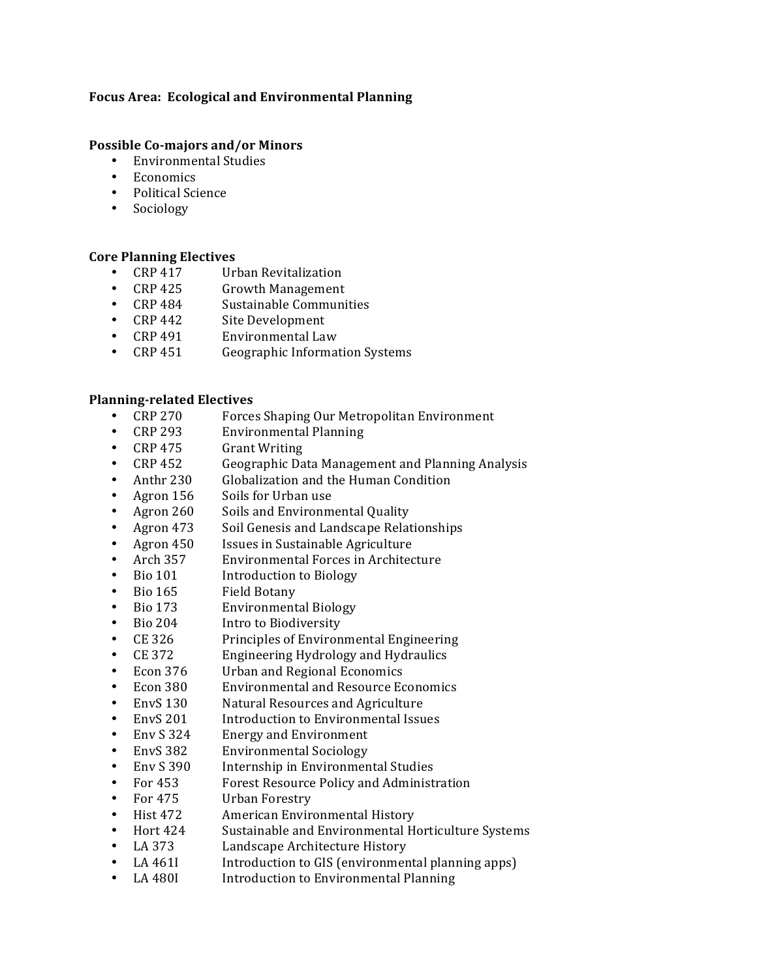## Focus Area: Ecological and Environmental Planning

### **Possible Co-majors and/or Minors**

- Environmental Studies
- Economics
- Political Science
- Sociology

### **Core Planning Electives**

- CRP 417 Urban Revitalization<br>• CRP 425 Growth Management
- Growth Management
- CRP 484 Sustainable Communities<br>• CRP 442 Site Development
- Site Development
- CRP 491 Environmental Law
- CRP 451 Geographic Information Systems

### **Planning-related Electives**

- CRP 270 Forces Shaping Our Metropolitan Environment<br>• CRP 293 Environmental Planning
- CRP 293 Environmental Planning<br>CRP 475 Grant Writing
- **Grant Writing**
- CRP!452 Geographic!Data!Management!and!Planning!Analysis
- Anthr 230 Globalization and the Human Condition
- Agron 156 Soils for Urban use
- Agron 260 Soils and Environmental Quality
- Agron 473 Soil Genesis and Landscape Relationships<br>• Agron 450 Issues in Sustainable Agriculture
- Agron 450 Issues in Sustainable Agriculture<br>Arch 357 Environmental Forces in Architec
- Arch 357 Environmental Forces in Architecture
- Bio 101 Introduction to Biology
- Bio 165 Field Botany<br>Bio 173 Environment
- **Environmental Biology**
- Bio 204 Intro to Biodiversity<br>• CE 326 Principles of Environ
- CE 326 Principles of Environmental Engineering
- CE 372 Engineering Hydrology and Hydraulics
- Econ 376 Urban and Regional Economics
- Econ 380 Environmental and Resource Economics<br>• EnvS 130 Natural Resources and Agriculture
- Natural Resources and Agriculture
- EnvS 201 Introduction to Environmental Issues<br>Env S 324 Energy and Environment
- Energy and Environment
- EnvS 382 Environmental Sociology
- Env S 390 Internship in Environmental Studies<br>• For 453 Forest Resource Policy and Administ
- For 453 Forest Resource Policy and Administration<br>For 475 Urban Forestry
- For 475 Urban Forestry
- **Hist 472** American Environmental History
- Hort 424 Sustainable and Environmental Horticulture Systems
- LA 373 Landscape Architecture History<br>• LA 461I Introduction to GIS (environmer
- LA 461I Introduction to GIS (environmental planning apps)<br>• LA 480I Introduction to Environmental Planning
- Introduction to Environmental Planning